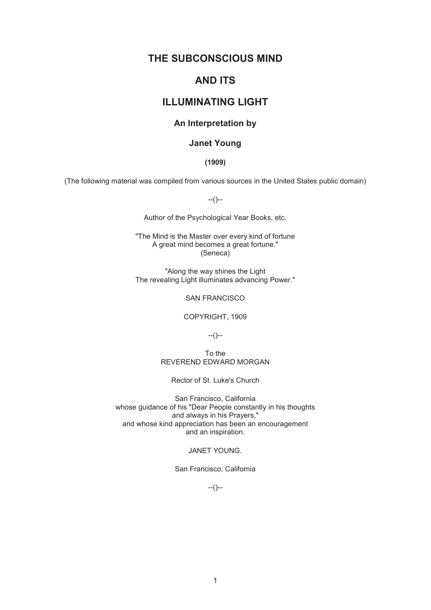## **THE SUBCONSCIOUS MIND**

## **AND ITS**

# **ILLUMINATING LIGHT**

## **An Interpretation by**

## **Janet Young**

### **(1909)**

(The following material was compiled from various sources in the United States public domain)

--()--

Author of the Psychological Year Books, etc.

"The Mind is the Master over every kind of fortune A great mind becomes a great fortune." (Seneca)

"Along the way shines the Light The revealing Light illuminates advancing Power."

## SAN FRANCISCO

COPYRIGHT, 1909

--()--

To the REVEREND EDWARD MORGAN

Rector of St. Luke's Church

San Francisco, California whose guidance of his "Dear People constantly in his thoughts and always in his Prayers," and whose kind appreciation has been an encouragement and an inspiration.

### JANET YOUNG.

San Francisco, California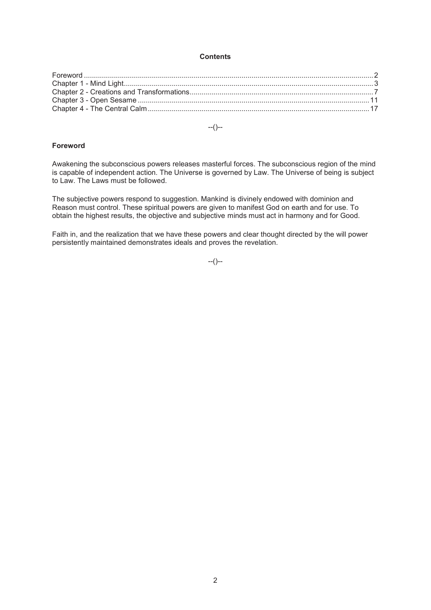#### **Contents**

--()--

#### **Foreword**

Awakening the subconscious powers releases masterful forces. The subconscious region of the mind is capable of independent action. The Universe is governed by Law. The Universe of being is subject to Law. The Laws must be followed.

The subjective powers respond to suggestion. Mankind is divinely endowed with dominion and Reason must control. These spiritual powers are given to manifest God on earth and for use. To obtain the highest results, the objective and subjective minds must act in harmony and for Good.

Faith in, and the realization that we have these powers and clear thought directed by the will power persistently maintained demonstrates ideals and proves the revelation.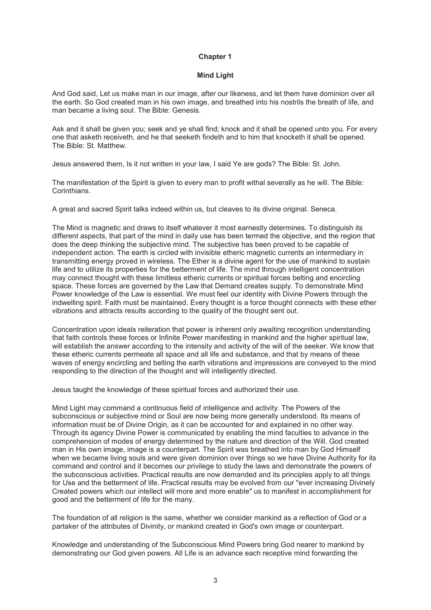#### **Mind Light**

And God said, Let us make man in our image, after our likeness, and let them have dominion over all the earth. So God created man in his own image, and breathed into his nostrils the breath of life, and man became a living soul. The Bible: Genesis.

Ask and it shall be given you; seek and ye shall find; knock and it shall be opened unto you. For every one that asketh receiveth, and he that seeketh findeth and to him that knocketh it shall be opened. The Bible: St. Matthew.

Jesus answered them, Is it not written in your law, I said Ye are gods? The Bible: St. John.

The manifestation of the Spirit is given to every man to profit withal severally as he will. The Bible: Corinthians.

A great and sacred Spirit talks indeed within us, but cleaves to its divine original. Seneca.

The Mind is magnetic and draws to itself whatever it most earnestly determines. To distinguish its different aspects, that part of the mind in daily use has been termed the objective, and the region that does the deep thinking the subjective mind. The subjective has been proved to be capable of independent action. The earth is circled with invisible etheric magnetic currents an intermediary in transmitting energy proved in wireless. The Ether is a divine agent for the use of mankind to sustain life and to utilize its properties for the betterment of life. The mind through intelligent concentration may connect thought with these limitless etheric currents or spiritual forces belting and encircling space. These forces are governed by the Law that Demand creates supply. To demonstrate Mind Power knowledge of the Law is essential. We must feel our identity with Divine Powers through the indwelling spirit. Faith must be maintained. Every thought is a force thought connects with these ether vibrations and attracts results according to the quality of the thought sent out.

Concentration upon ideals reiteration that power is inherent only awaiting recognition understanding that faith controls these forces or Infinite Power manifesting in mankind and the higher spiritual law, will establish the answer according to the intensity and activity of the will of the seeker. We know that these etheric currents permeate all space and all life and substance, and that by means of these waves of energy encircling and belting the earth vibrations and impressions are conveyed to the mind responding to the direction of the thought and will intelligently directed.

Jesus taught the knowledge of these spiritual forces and authorized their use.

Mind Light may command a continuous field of intelligence and activity. The Powers of the subconscious or subjective mind or Soul are now being more generally understood. Its means of information must be of Divine Origin, as it can be accounted for and explained in no other way. Through its agency Divine Power is communicated by enabling the mind faculties to advance in the comprehension of modes of energy determined by the nature and direction of the Will. God created man in His own image, image is a counterpart. The Spirit was breathed into man by God Himself when we became living souls and were given dominion over things so we have Divine Authority for its command and control and it becomes our privilege to study the laws and demonstrate the powers of the subconscious activities. Practical results are now demanded and its principles apply to all things for Use and the betterment of life. Practical results may be evolved from our "ever increasing Divinely Created powers which our intellect will more and more enable" us to manifest in accomplishment for good and the betterment of life for the many.

The foundation of all religion is the same, whether we consider mankind as a reflection of God or a partaker of the attributes of Divinity, or mankind created in God's own image or counterpart.

Knowledge and understanding of the Subconscious Mind Powers bring God nearer to mankind by demonstrating our God given powers. All Life is an advance each receptive mind forwarding the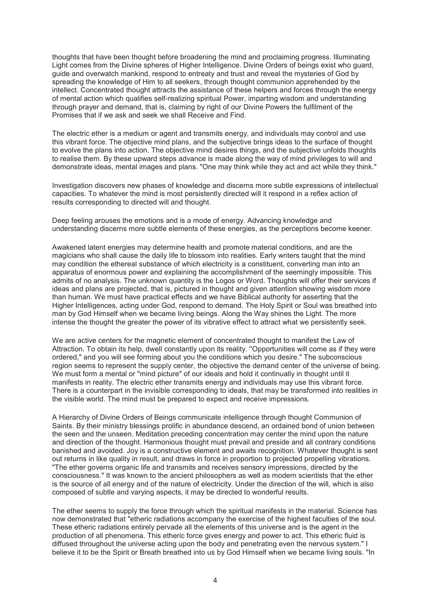thoughts that have been thought before broadening the mind and proclaiming progress. Illuminating Light comes from the Divine spheres of Higher Intelligence. Divine Orders of beings exist who guard, guide and overwatch mankind, respond to entreaty and trust and reveal the mysteries of God by spreading the knowledge of Him to all seekers, through thought communion apprehended by the intellect. Concentrated thought attracts the assistance of these helpers and forces through the energy of mental action which qualifies self-realizing spiritual Power, imparting wisdom and understanding through prayer and demand, that is, claiming by right of our Divine Powers the fulfilment of the Promises that if we ask and seek we shall Receive and Find.

The electric ether is a medium or agent and transmits energy, and individuals may control and use this vibrant force. The objective mind plans, and the subjective brings ideas to the surface of thought to evolve the plans into action. The objective mind desires things, and the subjective unfolds thoughts to realise them. By these upward steps advance is made along the way of mind privileges to will and demonstrate ideas, mental images and plans. "One may think while they act and act while they think."

Investigation discovers new phases of knowledge and discerns more subtle expressions of intellectual capacities. To whatever the mind is most persistently directed will it respond in a reflex action of results corresponding to directed will and thought.

Deep feeling arouses the emotions and is a mode of energy. Advancing knowledge and understanding discerns more subtle elements of these energies, as the perceptions become keener.

Awakened latent energies may determine health and promote material conditions, and are the magicians who shall cause the daily life to blossom into realities. Early writers taught that the mind may condition the ethereal substance of which electricity is a constituent, converting man into an apparatus of enormous power and explaining the accomplishment of the seemingly impossible. This admits of no analysis. The unknown quantity is the Logos or Word. Thoughts will offer their services if ideas and plans are projected, that is, pictured in thought and given attention showing wisdom more than human. We must have practical effects and we have Biblical authority for asserting that the Higher Intelligences, acting under God, respond to demand. The Holy Spirit or Soul was breathed into man by God Himself when we became living beings. Along the Way shines the Light. The more intense the thought the greater the power of its vibrative effect to attract what we persistently seek.

We are active centers for the magnetic element of concentrated thought to manifest the Law of Attraction. To obtain its help, dwell constantly upon its reality. ''Opportunities will come as if they were ordered," and you will see forming about you the conditions which you desire." The subconscious region seems to represent the supply center, the objective the demand center of the universe of being. We must form a mental or "mind picture" of our ideals and hold it continually in thought until it manifests in reality. The electric ether transmits energy and individuals may use this vibrant force. There is a counterpart in the invisible corresponding to ideals, that may be transformed into realities in the visible world. The mind must be prepared to expect and receive impressions.

A Hierarchy of Divine Orders of Beings communicate intelligence through thought Communion of Saints. By their ministry blessings prolific in abundance descend, an ordained bond of union between the seen and the unseen. Meditation preceding concentration may center the mind upon the nature and direction of the thought. Harmonious thought must prevail and preside and all contrary conditions banished and avoided. Joy is a constructive element and awaits recognition. Whatever thought is sent out returns in like quality in result, and draws in force in proportion to projected propelling vibrations. "The ether governs organic life and transmits and receives sensory impressions, directed by the consciousness." It was known to the ancient philosophers as well as modern scientists that the ether is the source of all energy and of the nature of electricity. Under the direction of the will, which is also composed of subtle and varying aspects, it may be directed to wonderful results.

The ether seems to supply the force through which the spiritual manifests in the material. Science has now demonstrated that "etheric radiations accompany the exercise of the highest faculties of the soul. These etheric radiations entirely pervade all the elements of this universe and is the agent in the production of all phenomena. This etheric force gives energy and power to act. This etheric fluid is diffused throughout the universe acting upon the body and penetrating even the nervous system." I believe it to be the Spirit or Breath breathed into us by God Himself when we became living souls. "In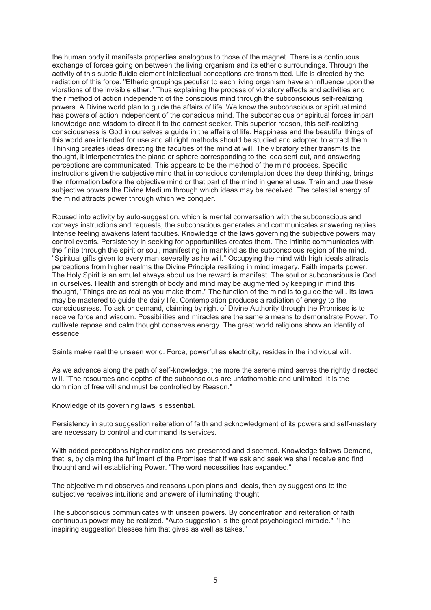the human body it manifests properties analogous to those of the magnet. There is a continuous exchange of forces going on between the living organism and its etheric surroundings. Through the activity of this subtle fluidic element intellectual conceptions are transmitted. Life is directed by the radiation of this force. "Etheric groupings peculiar to each living organism have an influence upon the vibrations of the invisible ether." Thus explaining the process of vibratory effects and activities and their method of action independent of the conscious mind through the subconscious self-realizing powers. A Divine world plan to guide the affairs of life. We know the subconscious or spiritual mind has powers of action independent of the conscious mind. The subconscious or spiritual forces impart knowledge and wisdom to direct it to the earnest seeker. This superior reason, this self-realizing consciousness is God in ourselves a guide in the affairs of life. Happiness and the beautiful things of this world are intended for use and all right methods should be studied and adopted to attract them. Thinking creates ideas directing the faculties of the mind at will. The vibratory ether transmits the thought, it interpenetrates the plane or sphere corresponding to the idea sent out, and answering perceptions are communicated. This appears to be the method of the mind process. Specific instructions given the subjective mind that in conscious contemplation does the deep thinking, brings the information before the objective mind or that part of the mind in general use. Train and use these subjective powers the Divine Medium through which ideas may be received. The celestial energy of the mind attracts power through which we conquer.

Roused into activity by auto-suggestion, which is mental conversation with the subconscious and conveys instructions and requests, the subconscious generates and communicates answering replies. Intense feeling awakens latent faculties. Knowledge of the laws governing the subjective powers may control events. Persistency in seeking for opportunities creates them. The Infinite communicates with the finite through the spirit or soul, manifesting in mankind as the subconscious region of the mind. "Spiritual gifts given to every man severally as he will." Occupying the mind with high ideals attracts perceptions from higher realms the Divine Principle realizing in mind imagery. Faith imparts power. The Holy Spirit is an amulet always about us the reward is manifest. The soul or subconscious is God in ourselves. Health and strength of body and mind may be augmented by keeping in mind this thought, "Things are as real as you make them." The function of the mind is to guide the will. Its laws may be mastered to guide the daily life. Contemplation produces a radiation of energy to the consciousness. To ask or demand, claiming by right of Divine Authority through the Promises is to receive force and wisdom. Possibilities and miracles are the same a means to demonstrate Power. To cultivate repose and calm thought conserves energy. The great world religions show an identity of essence.

Saints make real the unseen world. Force, powerful as electricity, resides in the individual will.

As we advance along the path of self-knowledge, the more the serene mind serves the rightly directed will. "The resources and depths of the subconscious are unfathomable and unlimited. It is the dominion of free will and must be controlled by Reason."

Knowledge of its governing laws is essential.

Persistency in auto suggestion reiteration of faith and acknowledgment of its powers and self-mastery are necessary to control and command its services.

With added perceptions higher radiations are presented and discerned. Knowledge follows Demand, that is, by claiming the fulfilment of the Promises that if we ask and seek we shall receive and find thought and will establishing Power. "The word necessities has expanded."

The objective mind observes and reasons upon plans and ideals, then by suggestions to the subjective receives intuitions and answers of illuminating thought.

The subconscious communicates with unseen powers. By concentration and reiteration of faith continuous power may be realized. "Auto suggestion is the great psychological miracle." "The inspiring suggestion blesses him that gives as well as takes."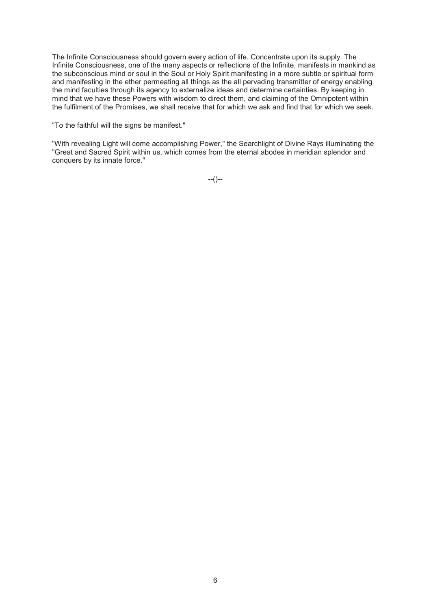The Infinite Consciousness should govern every action of life. Concentrate upon its supply. The Infinite Consciousness, one of the many aspects or reflections of the Infinite, manifests in mankind as the subconscious mind or soul in the Soul or Holy Spirit manifesting in a more subtle or spiritual form and manifesting in the ether permeating all things as the all pervading transmitter of energy enabling the mind faculties through its agency to externalize ideas and determine certainties. By keeping in mind that we have these Powers with wisdom to direct them, and claiming of the Omnipotent within the fulfilment of the Promises, we shall receive that for which we ask and find that for which we seek.

"To the faithful will the signs be manifest."

"With revealing Light will come accomplishing Power," the Searchlight of Divine Rays illuminating the "Great and Sacred Spirit within us, which comes from the eternal abodes in meridian splendor and conquers by its innate force."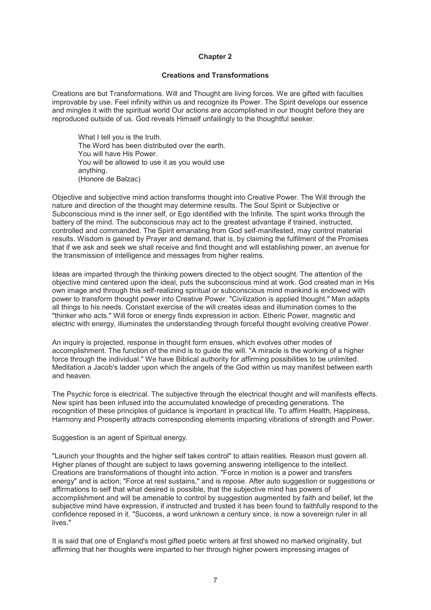#### **Creations and Transformations**

Creations are but Transformations. Will and Thought are living forces. We are gifted with faculties improvable by use. Feel infinity within us and recognize its Power. The Spirit develops our essence and mingles it with the spiritual world Our actions are accomplished in our thought before they are reproduced outside of us. God reveals Himself unfailingly to the thoughtful seeker.

What I tell you is the truth. The Word has been distributed over the earth. You will have His Power. You will be allowed to use it as you would use anything. (Honore de Balzac)

Objective and subjective mind action transforms thought into Creative Power. The Will through the nature and direction of the thought may determine results. The Soul Spirit or Subjective or Subconscious mind is the inner self, or Ego identified with the Infinite. The spirit works through the battery of the mind. The subconscious may act to the greatest advantage if trained, instructed, controlled and commanded. The Spirit emanating from God self-manifested, may control material results. Wisdom is gained by Prayer and demand, that is, by claiming the fulfilment of the Promises that if we ask and seek we shall receive and find thought and will establishing power, an avenue for the transmission of intelligence and messages from higher realms.

Ideas are imparted through the thinking powers directed to the object sought. The attention of the objective mind centered upon the ideal, puts the subconscious mind at work. God created man in His own image and through this self-realizing spiritual or subconscious mind mankind is endowed with power to transform thought power into Creative Power. "Civilization is applied thought." Man adapts all things to his needs. Constant exercise of the will creates ideas and illumination comes to the "thinker who acts." Will force or energy finds expression in action. Etheric Power, magnetic and electric with energy, illuminates the understanding through forceful thought evolving creative Power.

An inquiry is projected, response in thought form ensues, which evolves other modes of accomplishment. The function of the mind is to guide the will. "A miracle is the working of a higher force through the individual." We have Biblical authority for affirming possibilities to be unlimited. Meditation a Jacob's ladder upon which the angels of the God within us may manifest between earth and heaven.

The Psychic force is electrical. The subjective through the electrical thought and will manifests effects. New spirit has been infused into the accumulated knowledge of preceding generations. The recognition of these principles of guidance is important in practical life. To affirm Health, Happiness, Harmony and Prosperity attracts corresponding elements imparting vibrations of strength and Power.

Suggestion is an agent of Spiritual energy.

"Launch your thoughts and the higher self takes control" to attain realities. Reason must govern all. Higher planes of thought are subject to laws governing answering intelligence to the intellect. Creations are transformations of thought into action. "Force in motion is a power and transfers energy" and is action; "Force at rest sustains," and is repose. After auto suggestion or suggestions or affirmations to self that what desired is possible, that the subjective mind has powers of accomplishment and will be amenable to control by suggestion augmented by faith and belief, let the subjective mind have expression, if instructed and trusted it has been found to faithfully respond to the confidence reposed in it. "Success, a word unknown a century since, is now a sovereign ruler in all lives."

It is said that one of England's most gifted poetic writers at first showed no marked originality, but affirming that her thoughts were imparted to her through higher powers impressing images of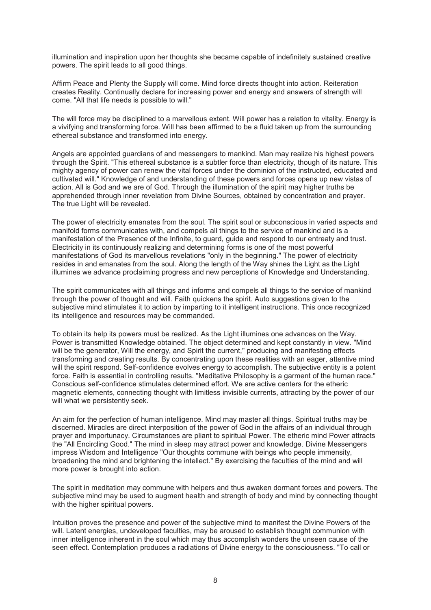illumination and inspiration upon her thoughts she became capable of indefinitely sustained creative powers. The spirit leads to all good things.

Affirm Peace and Plenty the Supply will come. Mind force directs thought into action. Reiteration creates Reality. Continually declare for increasing power and energy and answers of strength will come. "All that life needs is possible to will."

The will force may be disciplined to a marvellous extent. Will power has a relation to vitality. Energy is a vivifying and transforming force. Will has been affirmed to be a fluid taken up from the surrounding ethereal substance and transformed into energy.

Angels are appointed guardians of and messengers to mankind. Man may realize his highest powers through the Spirit. "This ethereal substance is a subtler force than electricity, though of its nature. This mighty agency of power can renew the vital forces under the dominion of the instructed, educated and cultivated will." Knowledge of and understanding of these powers and forces opens up new vistas of action. All is God and we are of God. Through the illumination of the spirit may higher truths be apprehended through inner revelation from Divine Sources, obtained by concentration and prayer. The true Light will be revealed.

The power of electricity emanates from the soul. The spirit soul or subconscious in varied aspects and manifold forms communicates with, and compels all things to the service of mankind and is a manifestation of the Presence of the Infinite, to guard, guide and respond to our entreaty and trust. Electricity in its continuously realizing and determining forms is one of the most powerful manifestations of God its marvellous revelations "only in the beginning." The power of electricity resides in and emanates from the soul. Along the length of the Way shines the Light as the Light illumines we advance proclaiming progress and new perceptions of Knowledge and Understanding.

The spirit communicates with all things and informs and compels all things to the service of mankind through the power of thought and will. Faith quickens the spirit. Auto suggestions given to the subjective mind stimulates it to action by imparting to it intelligent instructions. This once recognized its intelligence and resources may be commanded.

To obtain its help its powers must be realized. As the Light illumines one advances on the Way. Power is transmitted Knowledge obtained. The object determined and kept constantly in view. "Mind will be the generator, Will the energy, and Spirit the current," producing and manifesting effects transforming and creating results. By concentrating upon these realities with an eager, attentive mind will the spirit respond. Self-confidence evolves energy to accomplish. The subjective entity is a potent force. Faith is essential in controlling results. "Meditative Philosophy is a garment of the human race." Conscious self-confidence stimulates determined effort. We are active centers for the etheric magnetic elements, connecting thought with limitless invisible currents, attracting by the power of our will what we persistently seek.

An aim for the perfection of human intelligence. Mind may master all things. Spiritual truths may be discerned. Miracles are direct interposition of the power of God in the affairs of an individual through prayer and importunacy. Circumstances are pliant to spiritual Power. The etheric mind Power attracts the "All Encircling Good." The mind in sleep may attract power and knowledge. Divine Messengers impress Wisdom and Intelligence "Our thoughts commune with beings who people immensity, broadening the mind and brightening the intellect." By exercising the faculties of the mind and will more power is brought into action.

The spirit in meditation may commune with helpers and thus awaken dormant forces and powers. The subjective mind may be used to augment health and strength of body and mind by connecting thought with the higher spiritual powers.

Intuition proves the presence and power of the subjective mind to manifest the Divine Powers of the will. Latent energies, undeveloped faculties, may be aroused to establish thought communion with inner intelligence inherent in the soul which may thus accomplish wonders the unseen cause of the seen effect. Contemplation produces a radiations of Divine energy to the consciousness. "To call or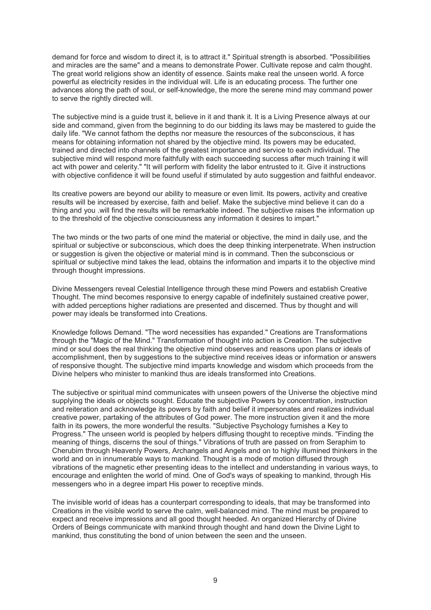demand for force and wisdom to direct it, is to attract it." Spiritual strength is absorbed. "Possibilities and miracles are the same" and a means to demonstrate Power. Cultivate repose and calm thought. The great world religions show an identity of essence. Saints make real the unseen world. A force powerful as electricity resides in the individual will. Life is an educating process. The further one advances along the path of soul, or self-knowledge, the more the serene mind may command power to serve the rightly directed will.

The subjective mind is a guide trust it, believe in it and thank it. It is a Living Presence always at our side and command, given from the beginning to do our bidding its laws may be mastered to guide the daily life. "We cannot fathom the depths nor measure the resources of the subconscious, it has means for obtaining information not shared by the objective mind. Its powers may be educated, trained and directed into channels of the greatest importance and service to each individual. The subjective mind will respond more faithfully with each succeeding success after much training it will act with power and celerity." "It will perform with fidelity the labor entrusted to it. Give it instructions with objective confidence it will be found useful if stimulated by auto suggestion and faithful endeavor.

Its creative powers are beyond our ability to measure or even limit. Its powers, activity and creative results will be increased by exercise, faith and belief. Make the subjective mind believe it can do a thing and you .will find the results will be remarkable indeed. The subjective raises the information up to the threshold of the objective consciousness any information it desires to impart."

The two minds or the two parts of one mind the material or objective, the mind in daily use, and the spiritual or subjective or subconscious, which does the deep thinking interpenetrate. When instruction or suggestion is given the objective or material mind is in command. Then the subconscious or spiritual or subjective mind takes the lead, obtains the information and imparts it to the objective mind through thought impressions.

Divine Messengers reveal Celestial Intelligence through these mind Powers and establish Creative Thought. The mind becomes responsive to energy capable of indefinitely sustained creative power, with added perceptions higher radiations are presented and discerned. Thus by thought and will power may ideals be transformed into Creations.

Knowledge follows Demand. "The word necessities has expanded." Creations are Transformations through the "Magic of the Mind." Transformation of thought into action is Creation. The subjective mind or soul does the real thinking the objective mind observes and reasons upon plans or ideals of accomplishment, then by suggestions to the subjective mind receives ideas or information or answers of responsive thought. The subjective mind imparts knowledge and wisdom which proceeds from the Divine helpers who minister to mankind thus are ideals transformed into Creations.

The subjective or spiritual mind communicates with unseen powers of the Universe the objective mind supplying the ideals or objects sought. Educate the subjective Powers by concentration, instruction and reiteration and acknowledge its powers by faith and belief it impersonates and realizes individual creative power, partaking of the attributes of God power. The more instruction given it and the more faith in its powers, the more wonderful the results. "Subjective Psychology furnishes a Key to Progress." The unseen world is peopled by helpers diffusing thought to receptive minds. "Finding the meaning of things, discerns the soul of things." Vibrations of truth are passed on from Seraphim to Cherubim through Heavenly Powers, Archangels and Angels and on to highly illumined thinkers in the world and on in innumerable ways to mankind. Thought is a mode of motion diffused through vibrations of the magnetic ether presenting ideas to the intellect and understanding in various ways, to encourage and enlighten the world of mind. One of God's ways of speaking to mankind, through His messengers who in a degree impart His power to receptive minds.

The invisible world of ideas has a counterpart corresponding to ideals, that may be transformed into Creations in the visible world to serve the calm, well-balanced mind. The mind must be prepared to expect and receive impressions and all good thought heeded. An organized Hierarchy of Divine Orders of Beings communicate with mankind through thought and hand down the Divine Light to mankind, thus constituting the bond of union between the seen and the unseen.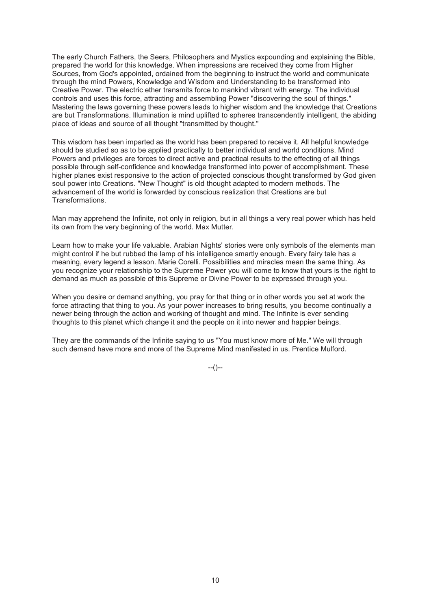The early Church Fathers, the Seers, Philosophers and Mystics expounding and explaining the Bible, prepared the world for this knowledge. When impressions are received they come from Higher Sources, from God's appointed, ordained from the beginning to instruct the world and communicate through the mind Powers, Knowledge and Wisdom and Understanding to be transformed into Creative Power. The electric ether transmits force to mankind vibrant with energy. The individual controls and uses this force, attracting and assembling Power "discovering the soul of things." Mastering the laws governing these powers leads to higher wisdom and the knowledge that Creations are but Transformations. Illumination is mind uplifted to spheres transcendently intelligent, the abiding place of ideas and source of all thought "transmitted by thought."

This wisdom has been imparted as the world has been prepared to receive it. All helpful knowledge should be studied so as to be applied practically to better individual and world conditions. Mind Powers and privileges are forces to direct active and practical results to the effecting of all things possible through self-confidence and knowledge transformed into power of accomplishment. These higher planes exist responsive to the action of projected conscious thought transformed by God given soul power into Creations. "New Thought" is old thought adapted to modern methods. The advancement of the world is forwarded by conscious realization that Creations are but Transformations.

Man may apprehend the Infinite, not only in religion, but in all things a very real power which has held its own from the very beginning of the world. Max Mutter.

Learn how to make your life valuable. Arabian Nights' stories were only symbols of the elements man might control if he but rubbed the lamp of his intelligence smartly enough. Every fairy tale has a meaning, every legend a lesson. Marie Corelli. Possibilities and miracles mean the same thing. As you recognize your relationship to the Supreme Power you will come to know that yours is the right to demand as much as possible of this Supreme or Divine Power to be expressed through you.

When you desire or demand anything, you pray for that thing or in other words you set at work the force attracting that thing to you. As your power increases to bring results, you become continually a newer being through the action and working of thought and mind. The Infinite is ever sending thoughts to this planet which change it and the people on it into newer and happier beings.

They are the commands of the Infinite saying to us "You must know more of Me." We will through such demand have more and more of the Supreme Mind manifested in us. Prentice Mulford.

 $-(-)$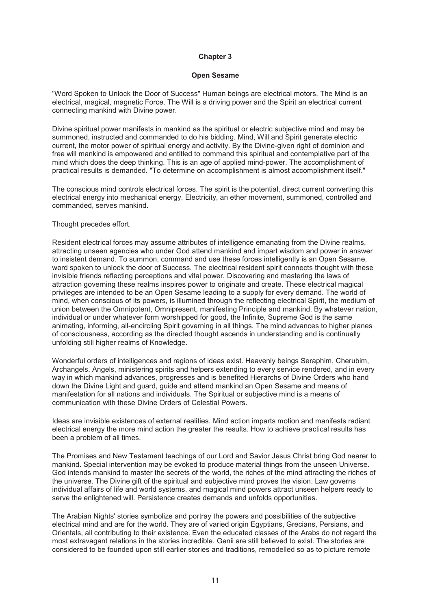#### **Open Sesame**

"Word Spoken to Unlock the Door of Success" Human beings are electrical motors. The Mind is an electrical, magical, magnetic Force. The Will is a driving power and the Spirit an electrical current connecting mankind with Divine power.

Divine spiritual power manifests in mankind as the spiritual or electric subjective mind and may be summoned, instructed and commanded to do his bidding. Mind, Will and Spirit generate electric current, the motor power of spiritual energy and activity. By the Divine-given right of dominion and free will mankind is empowered and entitled to command this spiritual and contemplative part of the mind which does the deep thinking. This is an age of applied mind-power. The accomplishment of practical results is demanded. "To determine on accomplishment is almost accomplishment itself."

The conscious mind controls electrical forces. The spirit is the potential, direct current converting this electrical energy into mechanical energy. Electricity, an ether movement, summoned, controlled and commanded, serves mankind.

#### Thought precedes effort.

Resident electrical forces may assume attributes of intelligence emanating from the Divine realms, attracting unseen agencies who under God attend mankind and impart wisdom and power in answer to insistent demand. To summon, command and use these forces intelligently is an Open Sesame, word spoken to unlock the door of Success. The electrical resident spirit connects thought with these invisible friends reflecting perceptions and vital power. Discovering and mastering the laws of attraction governing these realms inspires power to originate and create. These electrical magical privileges are intended to be an Open Sesame leading to a supply for every demand. The world of mind, when conscious of its powers, is illumined through the reflecting electrical Spirit, the medium of union between the Omnipotent, Omnipresent, manifesting Principle and mankind. By whatever nation, individual or under whatever form worshipped for good, the Infinite, Supreme God is the same animating, informing, all-encircling Spirit governing in all things. The mind advances to higher planes of consciousness, according as the directed thought ascends in understanding and is continually unfolding still higher realms of Knowledge.

Wonderful orders of intelligences and regions of ideas exist. Heavenly beings Seraphim, Cherubim, Archangels, Angels, ministering spirits and helpers extending to every service rendered, and in every way in which mankind advances, progresses and is benefited Hierarchs of Divine Orders who hand down the Divine Light and guard, guide and attend mankind an Open Sesame and means of manifestation for all nations and individuals. The Spiritual or subjective mind is a means of communication with these Divine Orders of Celestial Powers.

Ideas are invisible existences of external realities. Mind action imparts motion and manifests radiant electrical energy the more mind action the greater the results. How to achieve practical results has been a problem of all times.

The Promises and New Testament teachings of our Lord and Savior Jesus Christ bring God nearer to mankind. Special intervention may be evoked to produce material things from the unseen Universe. God intends mankind to master the secrets of the world, the riches of the mind attracting the riches of the universe. The Divine gift of the spiritual and subjective mind proves the vision. Law governs individual affairs of life and world systems, and magical mind powers attract unseen helpers ready to serve the enlightened will. Persistence creates demands and unfolds opportunities.

The Arabian Nights' stories symbolize and portray the powers and possibilities of the subjective electrical mind and are for the world. They are of varied origin Egyptians, Grecians, Persians, and Orientals, all contributing to their existence. Even the educated classes of the Arabs do not regard the most extravagant relations in the stories incredible. Genii are still believed to exist. The stories are considered to be founded upon still earlier stories and traditions, remodelled so as to picture remote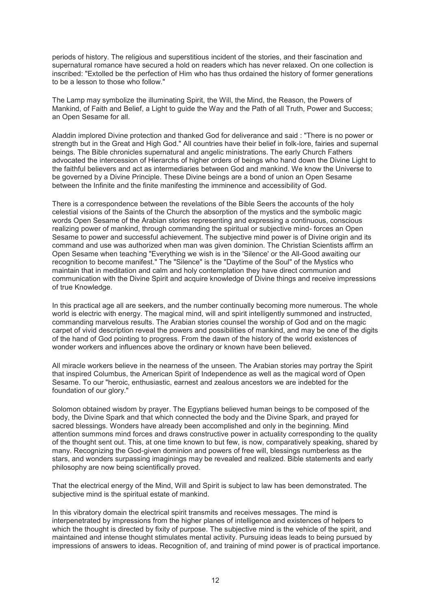periods of history. The religious and superstitious incident of the stories, and their fascination and supernatural romance have secured a hold on readers which has never relaxed. On one collection is inscribed: "Extolled be the perfection of Him who has thus ordained the history of former generations to be a lesson to those who follow."

The Lamp may symbolize the illuminating Spirit, the Will, the Mind, the Reason, the Powers of Mankind, of Faith and Belief, a Light to guide the Way and the Path of all Truth, Power and Success; an Open Sesame for all.

Aladdin implored Divine protection and thanked God for deliverance and said : "There is no power or strength but in the Great and High God." All countries have their belief in folk-lore, fairies and supernal beings. The Bible chronicles supernatural and angelic ministrations. The early Church Fathers advocated the intercession of Hierarchs of higher orders of beings who hand down the Divine Light to the faithful believers and act as intermediaries between God and mankind. We know the Universe to be governed by a Divine Principle. These Divine beings are a bond of union an Open Sesame between the Infinite and the finite manifesting the imminence and accessibility of God.

There is a correspondence between the revelations of the Bible Seers the accounts of the holy celestial visions of the Saints of the Church the absorption of the mystics and the symbolic magic words Open Sesame of the Arabian stories representing and expressing a continuous, conscious realizing power of mankind, through commanding the spiritual or subjective mind- forces an Open Sesame to power and successful achievement. The subjective mind power is of Divine origin and its command and use was authorized when man was given dominion. The Christian Scientists affirm an Open Sesame when teaching "Everything we wish is in the 'Silence' or the All-Good awaiting our recognition to become manifest." The "Silence" is the "Daytime of the Soul" of the Mystics who maintain that in meditation and calm and holy contemplation they have direct communion and communication with the Divine Spirit and acquire knowledge of Divine things and receive impressions of true Knowledge.

In this practical age all are seekers, and the number continually becoming more numerous. The whole world is electric with energy. The magical mind, will and spirit intelligently summoned and instructed, commanding marvelous results. The Arabian stories counsel the worship of God and on the magic carpet of vivid description reveal the powers and possibilities of mankind, and may be one of the digits of the hand of God pointing to progress. From the dawn of the history of the world existences of wonder workers and influences above the ordinary or known have been believed.

All miracle workers believe in the nearness of the unseen. The Arabian stories may portray the Spirit that inspired Columbus, the American Spirit of Independence as well as the magical word of Open Sesame. To our "heroic, enthusiastic, earnest and zealous ancestors we are indebted for the foundation of our glory."

Solomon obtained wisdom by prayer. The Egyptians believed human beings to be composed of the body, the Divine Spark and that which connected the body and the Divine Spark, and prayed for sacred blessings. Wonders have already been accomplished and only in the beginning. Mind attention summons mind forces and draws constructive power in actuality corresponding to the quality of the thought sent out. This, at one time known to but few, is now, comparatively speaking, shared by many. Recognizing the God-given dominion and powers of free will, blessings numberless as the stars, and wonders surpassing imaginings may be revealed and realized. Bible statements and early philosophy are now being scientifically proved.

That the electrical energy of the Mind, Will and Spirit is subject to law has been demonstrated. The subjective mind is the spiritual estate of mankind.

In this vibratory domain the electrical spirit transmits and receives messages. The mind is interpenetrated by impressions from the higher planes of intelligence and existences of helpers to which the thought is directed by fixity of purpose. The subjective mind is the vehicle of the spirit, and maintained and intense thought stimulates mental activity. Pursuing ideas leads to being pursued by impressions of answers to ideas. Recognition of, and training of mind power is of practical importance.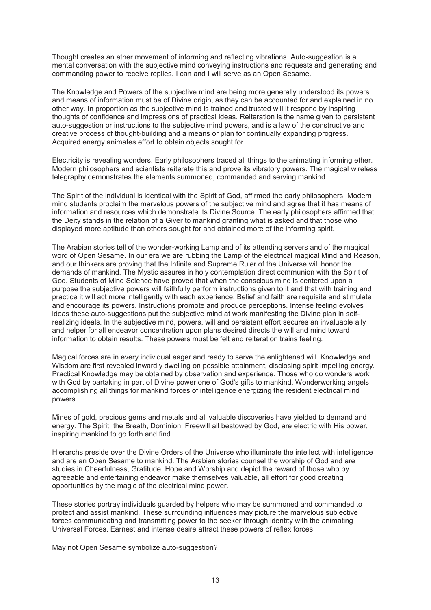Thought creates an ether movement of informing and reflecting vibrations. Auto-suggestion is a mental conversation with the subjective mind conveying instructions and requests and generating and commanding power to receive replies. I can and I will serve as an Open Sesame.

The Knowledge and Powers of the subjective mind are being more generally understood its powers and means of information must be of Divine origin, as they can be accounted for and explained in no other way. In proportion as the subjective mind is trained and trusted will it respond by inspiring thoughts of confidence and impressions of practical ideas. Reiteration is the name given to persistent auto-suggestion or instructions to the subjective mind powers, and is a law of the constructive and creative process of thought-building and a means or plan for continually expanding progress. Acquired energy animates effort to obtain objects sought for.

Electricity is revealing wonders. Early philosophers traced all things to the animating informing ether. Modern philosophers and scientists reiterate this and prove its vibratory powers. The magical wireless telegraphy demonstrates the elements summoned, commanded and serving mankind.

The Spirit of the individual is identical with the Spirit of God, affirmed the early philosophers. Modern mind students proclaim the marvelous powers of the subjective mind and agree that it has means of information and resources which demonstrate its Divine Source. The early philosophers affirmed that the Deity stands in the relation of a Giver to mankind granting what is asked and that those who displayed more aptitude than others sought for and obtained more of the informing spirit.

The Arabian stories tell of the wonder-working Lamp and of its attending servers and of the magical word of Open Sesame. In our era we are rubbing the Lamp of the electrical magical Mind and Reason, and our thinkers are proving that the Infinite and Supreme Ruler of the Universe will honor the demands of mankind. The Mystic assures in holy contemplation direct communion with the Spirit of God. Students of Mind Science have proved that when the conscious mind is centered upon a purpose the subjective powers will faithfully perform instructions given to it and that with training and practice it will act more intelligently with each experience. Belief and faith are requisite and stimulate and encourage its powers. Instructions promote and produce perceptions. Intense feeling evolves ideas these auto-suggestions put the subjective mind at work manifesting the Divine plan in selfrealizing ideals. In the subjective mind, powers, will and persistent effort secures an invaluable ally and helper for all endeavor concentration upon plans desired directs the will and mind toward information to obtain results. These powers must be felt and reiteration trains feeling.

Magical forces are in every individual eager and ready to serve the enlightened will. Knowledge and Wisdom are first revealed inwardly dwelling on possible attainment, disclosing spirit impelling energy. Practical Knowledge may be obtained by observation and experience. Those who do wonders work with God by partaking in part of Divine power one of God's gifts to mankind. Wonderworking angels accomplishing all things for mankind forces of intelligence energizing the resident electrical mind powers.

Mines of gold, precious gems and metals and all valuable discoveries have yielded to demand and energy. The Spirit, the Breath, Dominion, Freewill all bestowed by God, are electric with His power, inspiring mankind to go forth and find.

Hierarchs preside over the Divine Orders of the Universe who illuminate the intellect with intelligence and are an Open Sesame to mankind. The Arabian stories counsel the worship of God and are studies in Cheerfulness, Gratitude, Hope and Worship and depict the reward of those who by agreeable and entertaining endeavor make themselves valuable, all effort for good creating opportunities by the magic of the electrical mind power.

These stories portray individuals guarded by helpers who may be summoned and commanded to protect and assist mankind. These surrounding influences may picture the marvelous subjective forces communicating and transmitting power to the seeker through identity with the animating Universal Forces. Earnest and intense desire attract these powers of reflex forces.

May not Open Sesame symbolize auto-suggestion?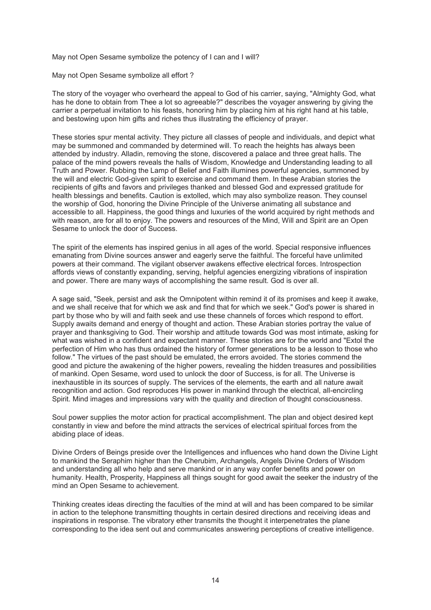May not Open Sesame symbolize the potency of I can and I will?

May not Open Sesame symbolize all effort ?

The story of the voyager who overheard the appeal to God of his carrier, saying, "Almighty God, what has he done to obtain from Thee a lot so agreeable?" describes the voyager answering by giving the carrier a perpetual invitation to his feasts, honoring him by placing him at his right hand at his table, and bestowing upon him gifts and riches thus illustrating the efficiency of prayer.

These stories spur mental activity. They picture all classes of people and individuals, and depict what may be summoned and commanded by determined will. To reach the heights has always been attended by industry. Alladin, removing the stone, discovered a palace and three great halls. The palace of the mind powers reveals the halls of Wisdom, Knowledge and Understanding leading to all Truth and Power. Rubbing the Lamp of Belief and Faith illumines powerful agencies, summoned by the will and electric God-given spirit to exercise and command them. In these Arabian stories the recipients of gifts and favors and privileges thanked and blessed God and expressed gratitude for health blessings and benefits. Caution is extolled, which may also symbolize reason. They counsel the worship of God, honoring the Divine Principle of the Universe animating all substance and accessible to all. Happiness, the good things and luxuries of the world acquired by right methods and with reason, are for all to enjoy. The powers and resources of the Mind, Will and Spirit are an Open Sesame to unlock the door of Success.

The spirit of the elements has inspired genius in all ages of the world. Special responsive influences emanating from Divine sources answer and eagerly serve the faithful. The forceful have unlimited powers at their command. The vigilant observer awakens effective electrical forces. Introspection affords views of constantly expanding, serving, helpful agencies energizing vibrations of inspiration and power. There are many ways of accomplishing the same result. God is over all.

A sage said, "Seek, persist and ask the Omnipotent within remind it of its promises and keep it awake, and we shall receive that for which we ask and find that for which we seek." God's power is shared in part by those who by will and faith seek and use these channels of forces which respond to effort. Supply awaits demand and energy of thought and action. These Arabian stories portray the value of prayer and thanksgiving to God. Their worship and attitude towards God was most intimate, asking for what was wished in a confident and expectant manner. These stories are for the world and "Extol the perfection of Him who has thus ordained the history of former generations to be a lesson to those who follow." The virtues of the past should be emulated, the errors avoided. The stories commend the good and picture the awakening of the higher powers, revealing the hidden treasures and possibilities of mankind. Open Sesame, word used to unlock the door of Success, is for all. The Universe is inexhaustible in its sources of supply. The services of the elements, the earth and all nature await recognition and action. God reproduces His power in mankind through the electrical, all-encircling Spirit. Mind images and impressions vary with the quality and direction of thought consciousness.

Soul power supplies the motor action for practical accomplishment. The plan and object desired kept constantly in view and before the mind attracts the services of electrical spiritual forces from the abiding place of ideas.

Divine Orders of Beings preside over the Intelligences and influences who hand down the Divine Light to mankind the Seraphim higher than the Cherubim, Archangels, Angels Divine Orders of Wisdom and understanding all who help and serve mankind or in any way confer benefits and power on humanity. Health, Prosperity, Happiness all things sought for good await the seeker the industry of the mind an Open Sesame to achievement.

Thinking creates ideas directing the faculties of the mind at will and has been compared to be similar in action to the telephone transmitting thoughts in certain desired directions and receiving ideas and inspirations in response. The vibratory ether transmits the thought it interpenetrates the plane corresponding to the idea sent out and communicates answering perceptions of creative intelligence.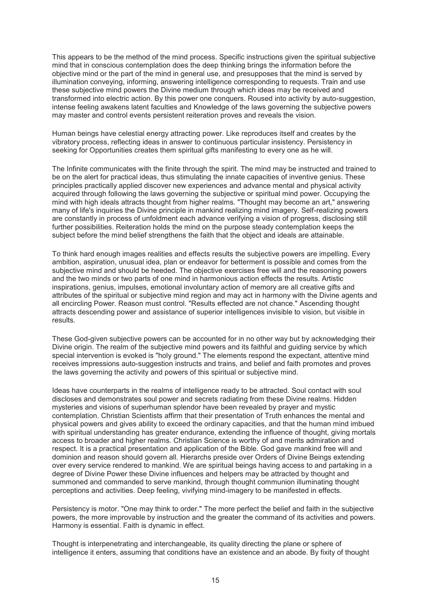This appears to be the method of the mind process. Specific instructions given the spiritual subjective mind that in conscious contemplation does the deep thinking brings the information before the objective mind or the part of the mind in general use, and presupposes that the mind is served by illumination conveying, informing, answering intelligence corresponding to requests. Train and use these subjective mind powers the Divine medium through which ideas may be received and transformed into electric action. By this power one conquers. Roused into activity by auto-suggestion, intense feeling awakens latent faculties and Knowledge of the laws governing the subjective powers may master and control events persistent reiteration proves and reveals the vision.

Human beings have celestial energy attracting power. Like reproduces itself and creates by the vibratory process, reflecting ideas in answer to continuous particular insistency. Persistency in seeking for Opportunities creates them spiritual gifts manifesting to every one as he will.

The Infinite communicates with the finite through the spirit. The mind may be instructed and trained to be on the alert for practical ideas, thus stimulating the innate capacities of inventive genius. These principles practically applied discover new experiences and advance mental and physical activity acquired through following the laws governing the subjective or spiritual mind power. Occupying the mind with high ideals attracts thought from higher realms. "Thought may become an art," answering many of life's inquiries the Divine principle in mankind realizing mind imagery. Self-realizing powers are constantly in process of unfoldment each advance verifying a vision of progress, disclosing still further possibilities. Reiteration holds the mind on the purpose steady contemplation keeps the subject before the mind belief strengthens the faith that the object and ideals are attainable.

To think hard enough images realities and effects results the subjective powers are impelling. Every ambition, aspiration, unusual idea, plan or endeavor for betterment is possible and comes from the subjective mind and should be heeded. The objective exercises free will and the reasoning powers and the two minds or two parts of one mind in harmonious action effects the results. Artistic inspirations, genius, impulses, emotional involuntary action of memory are all creative gifts and attributes of the spiritual or subjective mind region and may act in harmony with the Divine agents and all encircling Power. Reason must control. "Results effected are not chance." Ascending thought attracts descending power and assistance of superior intelligences invisible to vision, but visible in results.

These God-given subjective powers can be accounted for in no other way but by acknowledging their Divine origin. The realm of the subjective mind powers and its faithful and guiding service by which special intervention is evoked is "holy ground." The elements respond the expectant, attentive mind receives impressions auto-suggestion instructs and trains, and belief and faith promotes and proves the laws governing the activity and powers of this spiritual or subjective mind.

Ideas have counterparts in the realms of intelligence ready to be attracted. Soul contact with soul discloses and demonstrates soul power and secrets radiating from these Divine realms. Hidden mysteries and visions of superhuman splendor have been revealed by prayer and mystic contemplation. Christian Scientists affirm that their presentation of Truth enhances the mental and physical powers and gives ability to exceed the ordinary capacities, and that the human mind imbued with spiritual understanding has greater endurance, extending the influence of thought, giving mortals access to broader and higher realms. Christian Science is worthy of and merits admiration and respect. It is a practical presentation and application of the Bible. God gave mankind free will and dominion and reason should govern all. Hierarchs preside over Orders of Divine Beings extending over every service rendered to mankind. We are spiritual beings having access to and partaking in a degree of Divine Power these Divine influences and helpers may be attracted by thought and summoned and commanded to serve mankind, through thought communion illuminating thought perceptions and activities. Deep feeling, vivifying mind-imagery to be manifested in effects.

Persistency is motor. "One may think to order." The more perfect the belief and faith in the subjective powers, the more improvable by instruction and the greater the command of its activities and powers. Harmony is essential. Faith is dynamic in effect.

Thought is interpenetrating and interchangeable, its quality directing the plane or sphere of intelligence it enters, assuming that conditions have an existence and an abode. By fixity of thought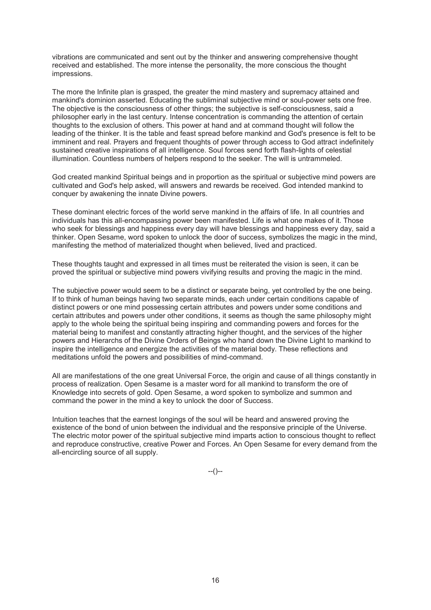vibrations are communicated and sent out by the thinker and answering comprehensive thought received and established. The more intense the personality, the more conscious the thought impressions.

The more the Infinite plan is grasped, the greater the mind mastery and supremacy attained and mankind's dominion asserted. Educating the subliminal subjective mind or soul-power sets one free. The objective is the consciousness of other things; the subjective is self-consciousness, said a philosopher early in the last century. Intense concentration is commanding the attention of certain thoughts to the exclusion of others. This power at hand and at command thought will follow the leading of the thinker. It is the table and feast spread before mankind and God's presence is felt to be imminent and real. Prayers and frequent thoughts of power through access to God attract indefinitely sustained creative inspirations of all intelligence. Soul forces send forth flash-lights of celestial illumination. Countless numbers of helpers respond to the seeker. The will is untrammeled.

God created mankind Spiritual beings and in proportion as the spiritual or subjective mind powers are cultivated and God's help asked, will answers and rewards be received. God intended mankind to conquer by awakening the innate Divine powers.

These dominant electric forces of the world serve mankind in the affairs of life. In all countries and individuals has this all-encompassing power been manifested. Life is what one makes of it. Those who seek for blessings and happiness every day will have blessings and happiness every day, said a thinker. Open Sesame, word spoken to unlock the door of success, symbolizes the magic in the mind, manifesting the method of materialized thought when believed, lived and practiced.

These thoughts taught and expressed in all times must be reiterated the vision is seen, it can be proved the spiritual or subjective mind powers vivifying results and proving the magic in the mind.

The subjective power would seem to be a distinct or separate being, yet controlled by the one being. If to think of human beings having two separate minds, each under certain conditions capable of distinct powers or one mind possessing certain attributes and powers under some conditions and certain attributes and powers under other conditions, it seems as though the same philosophy might apply to the whole being the spiritual being inspiring and commanding powers and forces for the material being to manifest and constantly attracting higher thought, and the services of the higher powers and Hierarchs of the Divine Orders of Beings who hand down the Divine Light to mankind to inspire the intelligence and energize the activities of the material body. These reflections and meditations unfold the powers and possibilities of mind-command.

All are manifestations of the one great Universal Force, the origin and cause of all things constantly in process of realization. Open Sesame is a master word for all mankind to transform the ore of Knowledge into secrets of gold. Open Sesame, a word spoken to symbolize and summon and command the power in the mind a key to unlock the door of Success.

Intuition teaches that the earnest longings of the soul will be heard and answered proving the existence of the bond of union between the individual and the responsive principle of the Universe. The electric motor power of the spiritual subjective mind imparts action to conscious thought to reflect and reproduce constructive, creative Power and Forces. An Open Sesame for every demand from the all-encircling source of all supply.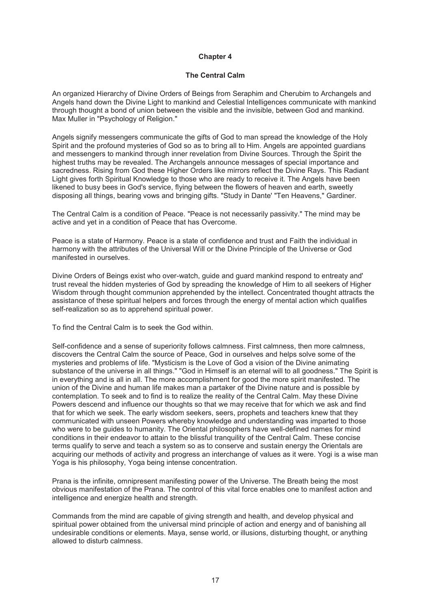#### **The Central Calm**

An organized Hierarchy of Divine Orders of Beings from Seraphim and Cherubim to Archangels and Angels hand down the Divine Light to mankind and Celestial Intelligences communicate with mankind through thought a bond of union between the visible and the invisible, between God and mankind. Max Muller in "Psychology of Religion."

Angels signify messengers communicate the gifts of God to man spread the knowledge of the Holy Spirit and the profound mysteries of God so as to bring all to Him. Angels are appointed guardians and messengers to mankind through inner revelation from Divine Sources. Through the Spirit the highest truths may be revealed. The Archangels announce messages of special importance and sacredness. Rising from God these Higher Orders like mirrors reflect the Divine Rays. This Radiant Light gives forth Spiritual Knowledge to those who are ready to receive it. The Angels have been likened to busy bees in God's service, flying between the flowers of heaven and earth, sweetly disposing all things, bearing vows and bringing gifts. "Study in Dante' "Ten Heavens," Gardiner.

The Central Calm is a condition of Peace. "Peace is not necessarily passivity." The mind may be active and yet in a condition of Peace that has Overcome.

Peace is a state of Harmony. Peace is a state of confidence and trust and Faith the individual in harmony with the attributes of the Universal Will or the Divine Principle of the Universe or God manifested in ourselves.

Divine Orders of Beings exist who over-watch, guide and guard mankind respond to entreaty and' trust reveal the hidden mysteries of God by spreading the knowledge of Him to all seekers of Higher Wisdom through thought communion apprehended by the intellect. Concentrated thought attracts the assistance of these spiritual helpers and forces through the energy of mental action which qualifies self-realization so as to apprehend spiritual power.

To find the Central Calm is to seek the God within.

Self-confidence and a sense of superiority follows calmness. First calmness, then more calmness, discovers the Central Calm the source of Peace, God in ourselves and helps solve some of the mysteries and problems of life. "Mysticism is the Love of God a vision of the Divine animating substance of the universe in all things." "God in Himself is an eternal will to all goodness." The Spirit is in everything and is all in all. The more accomplishment for good the more spirit manifested. The union of the Divine and human life makes man a partaker of the Divine nature and is possible by contemplation. To seek and to find is to realize the reality of the Central Calm. May these Divine Powers descend and influence our thoughts so that we may receive that for which we ask and find that for which we seek. The early wisdom seekers, seers, prophets and teachers knew that they communicated with unseen Powers whereby knowledge and understanding was imparted to those who were to be guides to humanity. The Oriental philosophers have well-defined names for mind conditions in their endeavor to attain to the blissful tranquility of the Central Calm. These concise terms qualify to serve and teach a system so as to conserve and sustain energy the Orientals are acquiring our methods of activity and progress an interchange of values as it were. Yogi is a wise man Yoga is his philosophy, Yoga being intense concentration.

Prana is the infinite, omnipresent manifesting power of the Universe. The Breath being the most obvious manifestation of the Prana. The control of this vital force enables one to manifest action and intelligence and energize health and strength.

Commands from the mind are capable of giving strength and health, and develop physical and spiritual power obtained from the universal mind principle of action and energy and of banishing all undesirable conditions or elements. Maya, sense world, or illusions, disturbing thought, or anything allowed to disturb calmness.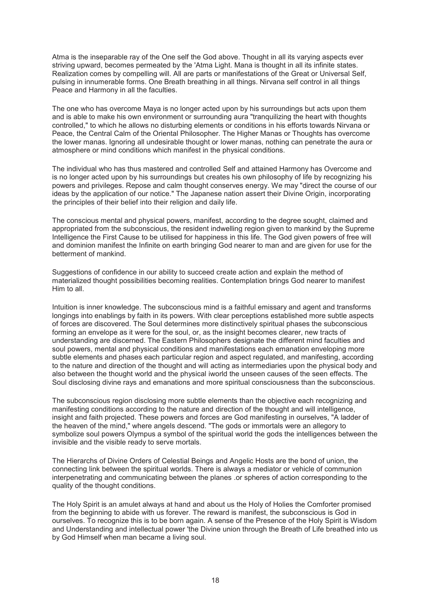Atma is the inseparable ray of the One self the God above. Thought in all its varying aspects ever striving upward, becomes permeated by the 'Atma Light. Mana is thought in all its infinite states. Realization comes by compelling will. All are parts or manifestations of the Great or Universal Self, pulsing in innumerable forms. One Breath breathing in all things. Nirvana self control in all things Peace and Harmony in all the faculties.

The one who has overcome Maya is no longer acted upon by his surroundings but acts upon them and is able to make his own environment or surrounding aura "tranquilizing the heart with thoughts controlled," to which he allows no disturbing elements or conditions in his efforts towards Nirvana or Peace, the Central Calm of the Oriental Philosopher. The Higher Manas or Thoughts has overcome the lower manas. Ignoring all undesirable thought or lower manas, nothing can penetrate the aura or atmosphere or mind conditions which manifest in the physical conditions.

The individual who has thus mastered and controlled Self and attained Harmony has Overcome and is no longer acted upon by his surroundings but creates his own philosophy of life by recognizing his powers and privileges. Repose and calm thought conserves energy. We may "direct the course of our ideas by the application of our notice." The Japanese nation assert their Divine Origin, incorporating the principles of their belief into their religion and daily life.

The conscious mental and physical powers, manifest, according to the degree sought, claimed and appropriated from the subconscious, the resident indwelling region given to mankind by the Supreme Intelligence the First Cause to be utilised for happiness in this life. The God given powers of free will and dominion manifest the Infinite on earth bringing God nearer to man and are given for use for the betterment of mankind.

Suggestions of confidence in our ability to succeed create action and explain the method of materialized thought possibilities becoming realities. Contemplation brings God nearer to manifest Him to all.

Intuition is inner knowledge. The subconscious mind is a faithful emissary and agent and transforms longings into enablings by faith in its powers. With clear perceptions established more subtle aspects of forces are discovered. The Soul determines more distinctively spiritual phases the subconscious forming an envelope as it were for the soul, or, as the insight becomes clearer, new tracts of understanding are discerned. The Eastern Philosophers designate the different mind faculties and soul powers, mental and physical conditions and manifestations each emanation enveloping more subtle elements and phases each particular region and aspect regulated, and manifesting, according to the nature and direction of the thought and will acting as intermediaries upon the physical body and also between the thought world and the physical iworld the unseen causes of the seen effects. The Soul disclosing divine rays and emanations and more spiritual consciousness than the subconscious.

The subconscious region disclosing more subtle elements than the objective each recognizing and manifesting conditions according to the nature and direction of the thought and will intelligence, insight and faith projected. These powers and forces are God manifesting in ourselves, "A ladder of the heaven of the mind," where angels descend. "The gods or immortals were an allegory to symbolize soul powers Olympus a symbol of the spiritual world the gods the intelligences between the invisible and the visible ready to serve mortals.

The Hierarchs of Divine Orders of Celestial Beings and Angelic Hosts are the bond of union, the connecting link between the spiritual worlds. There is always a mediator or vehicle of communion interpenetrating and communicating between the planes .or spheres of action corresponding to the quality of the thought conditions.

The Holy Spirit is an amulet always at hand and about us the Holy of Holies the Comforter promised from the beginning to abide with us forever. The reward is manifest, the subconscious is God in ourselves. To recognize this is to be born again. A sense of the Presence of the Holy Spirit is Wisdom and Understanding and intellectual power 'the Divine union through the Breath of Life breathed into us by God Himself when man became a living soul.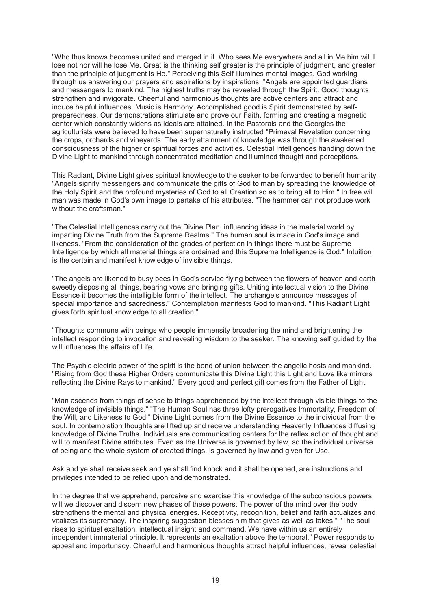"Who thus knows becomes united and merged in it. Who sees Me everywhere and all in Me him will I lose not nor will he lose Me. Great is the thinking self greater is the principle of judgment, and greater than the principle of judgment is He." Perceiving this Self illumines mental images. God working through us answering our prayers and aspirations by inspirations. "Angels are appointed guardians and messengers to mankind. The highest truths may be revealed through the Spirit. Good thoughts strengthen and invigorate. Cheerful and harmonious thoughts are active centers and attract and induce helpful influences. Music is Harmony. Accomplished good is Spirit demonstrated by selfpreparedness. Our demonstrations stimulate and prove our Faith, forming and creating a magnetic center which constantly widens as ideals are attained. In the Pastorals and the Georgics the agriculturists were believed to have been supernaturally instructed "Primeval Revelation concerning the crops, orchards and vineyards. The early attainment of knowledge was through the awakened consciousness of the higher or spiritual forces and activities. Celestial Intelligences handing down the Divine Light to mankind through concentrated meditation and illumined thought and perceptions.

This Radiant, Divine Light gives spiritual knowledge to the seeker to be forwarded to benefit humanity. "Angels signify messengers and communicate the gifts of God to man by spreading the knowledge of the Holy Spirit and the profound mysteries of God to all Creation so as to bring all to Him." In free will man was made in God's own image to partake of his attributes. "The hammer can not produce work without the craftsman."

"The Celestial Intelligences carry out the Divine Plan, influencing ideas in the material world by imparting Divine Truth from the Supreme Realms." The human soul is made in God's image and likeness. "From the consideration of the grades of perfection in things there must be Supreme Intelligence by which all material things are ordained and this Supreme Intelligence is God." Intuition is the certain and manifest knowledge of invisible things.

"The angels are likened to busy bees in God's service flying between the flowers of heaven and earth sweetly disposing all things, bearing vows and bringing gifts. Uniting intellectual vision to the Divine Essence it becomes the intelligible form of the intellect. The archangels announce messages of special importance and sacredness." Contemplation manifests God to mankind. "This Radiant Light gives forth spiritual knowledge to all creation."

"Thoughts commune with beings who people immensity broadening the mind and brightening the intellect responding to invocation and revealing wisdom to the seeker. The knowing self guided by the will influences the affairs of Life.

The Psychic electric power of the spirit is the bond of union between the angelic hosts and mankind. "Rising from God these Higher Orders communicate this Divine Light this Light and Love like mirrors reflecting the Divine Rays to mankind." Every good and perfect gift comes from the Father of Light.

"Man ascends from things of sense to things apprehended by the intellect through visible things to the knowledge of invisible things." "The Human Soul has three lofty prerogatives Immortality, Freedom of the Will, and Likeness to God." Divine Light comes from the Divine Essence to the individual from the soul. In contemplation thoughts are lifted up and receive understanding Heavenly Influences diffusing knowledge of Divine Truths. Individuals are communicating centers for the reflex action of thought and will to manifest Divine attributes. Even as the Universe is governed by law, so the individual universe of being and the whole system of created things, is governed by law and given for Use.

Ask and ye shall receive seek and ye shall find knock and it shall be opened, are instructions and privileges intended to be relied upon and demonstrated.

In the degree that we apprehend, perceive and exercise this knowledge of the subconscious powers will we discover and discern new phases of these powers. The power of the mind over the body strengthens the mental and physical energies. Receptivity, recognition, belief and faith actualizes and vitalizes its supremacy. The inspiring suggestion blesses him that gives as well as takes." "The soul rises to spiritual exaltation, intellectual insight and command. We have within us an entirely independent immaterial principle. It represents an exaltation above the temporal." Power responds to appeal and importunacy. Cheerful and harmonious thoughts attract helpful influences, reveal celestial